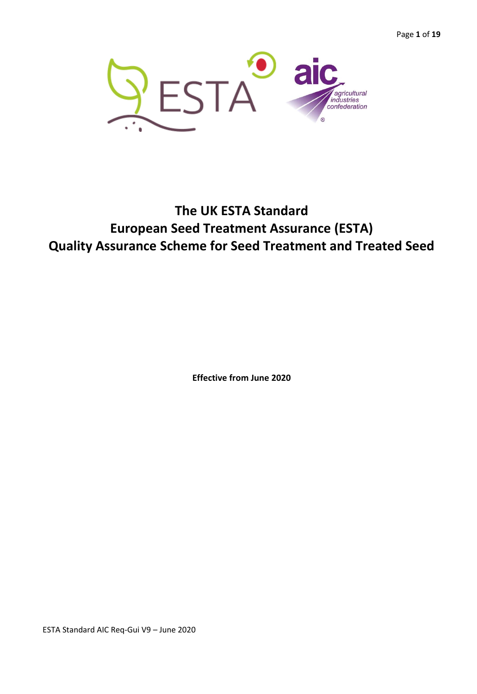Page **1** of **19**



# **The UK ESTA Standard European Seed Treatment Assurance (ESTA) Quality Assurance Scheme for Seed Treatment and Treated Seed**

**Effective from June 2020**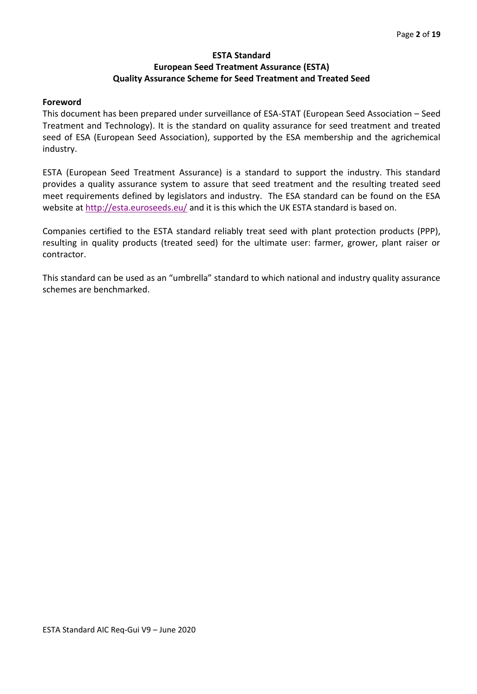## **ESTA Standard European Seed Treatment Assurance (ESTA) Quality Assurance Scheme for Seed Treatment and Treated Seed**

#### **Foreword**

This document has been prepared under surveillance of ESA-STAT (European Seed Association – Seed Treatment and Technology). It is the standard on quality assurance for seed treatment and treated seed of ESA (European Seed Association), supported by the ESA membership and the agrichemical industry.

ESTA (European Seed Treatment Assurance) is a standard to support the industry. This standard provides a quality assurance system to assure that seed treatment and the resulting treated seed meet requirements defined by legislators and industry. The ESA standard can be found on the ESA website at<http://esta.euroseeds.eu/> and it is this which the UK ESTA standard is based on.

Companies certified to the ESTA standard reliably treat seed with plant protection products (PPP), resulting in quality products (treated seed) for the ultimate user: farmer, grower, plant raiser or contractor.

This standard can be used as an "umbrella" standard to which national and industry quality assurance schemes are benchmarked.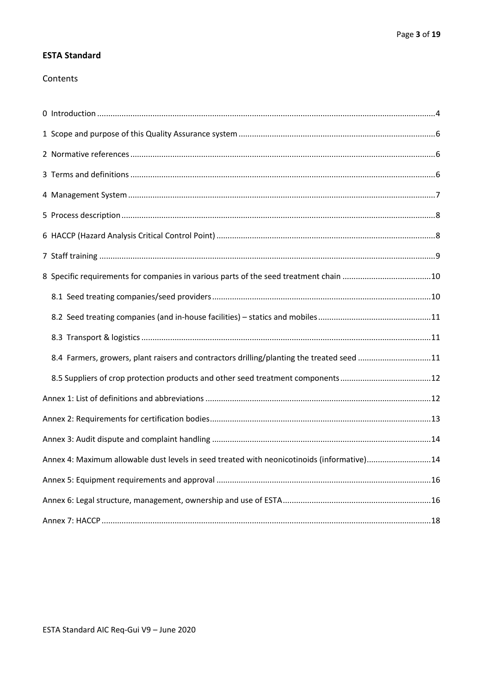## **ESTA Standard**

## Contents

| 8.4 Farmers, growers, plant raisers and contractors drilling/planting the treated seed 11  |  |
|--------------------------------------------------------------------------------------------|--|
|                                                                                            |  |
|                                                                                            |  |
|                                                                                            |  |
|                                                                                            |  |
| Annex 4: Maximum allowable dust levels in seed treated with neonicotinoids (informative)14 |  |
|                                                                                            |  |
|                                                                                            |  |
|                                                                                            |  |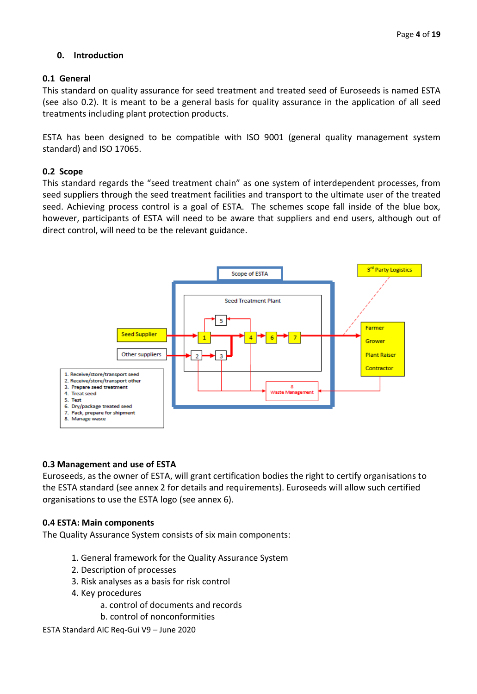## **0. Introduction**

## **0.1 General**

This standard on quality assurance for seed treatment and treated seed of Euroseeds is named ESTA (see also 0.2). It is meant to be a general basis for quality assurance in the application of all seed treatments including plant protection products.

ESTA has been designed to be compatible with ISO 9001 (general quality management system standard) and ISO 17065.

## **0.2 Scope**

This standard regards the "seed treatment chain" as one system of interdependent processes, from seed suppliers through the seed treatment facilities and transport to the ultimate user of the treated seed. Achieving process control is a goal of ESTA. The schemes scope fall inside of the blue box, however, participants of ESTA will need to be aware that suppliers and end users, although out of direct control, will need to be the relevant guidance.



## **0.3 Management and use of ESTA**

Euroseeds, as the owner of ESTA, will grant certification bodies the right to certify organisations to the ESTA standard (see annex 2 for details and requirements). Euroseeds will allow such certified organisations to use the ESTA logo (see annex 6).

## **0.4 ESTA: Main components**

The Quality Assurance System consists of six main components:

- 1. General framework for the Quality Assurance System
- 2. Description of processes
- 3. Risk analyses as a basis for risk control
- 4. Key procedures
	- a. control of documents and records
	- b. control of nonconformities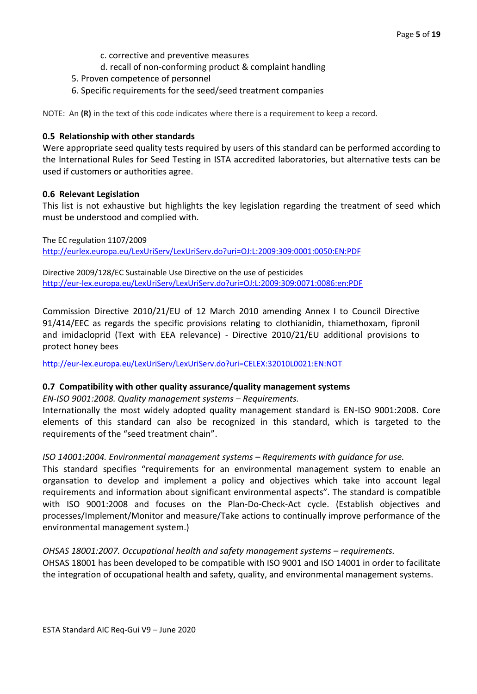- c. corrective and preventive measures
- d. recall of non-conforming product & complaint handling
- 5. Proven competence of personnel
- 6. Specific requirements for the seed/seed treatment companies

NOTE: An **(R)** in the text of this code indicates where there is a requirement to keep a record.

## **0.5 Relationship with other standards**

Were appropriate seed quality tests required by users of this standard can be performed according to the International Rules for Seed Testing in ISTA accredited laboratories, but alternative tests can be used if customers or authorities agree.

#### **0.6 Relevant Legislation**

This list is not exhaustive but highlights the key legislation regarding the treatment of seed which must be understood and complied with.

The EC regulation 1107/2009 <http://eurlex.europa.eu/LexUriServ/LexUriServ.do?uri=OJ:L:2009:309:0001:0050:EN:PDF>

Directive 2009/128/EC Sustainable Use Directive on the use of pesticides <http://eur-lex.europa.eu/LexUriServ/LexUriServ.do?uri=OJ:L:2009:309:0071:0086:en:PDF>

Commission Directive 2010/21/EU of 12 March 2010 amending Annex I to Council Directive 91/414/EEC as regards the specific provisions relating to clothianidin, thiamethoxam, fipronil and imidacloprid (Text with EEA relevance) - Directive 2010/21/EU additional provisions to protect honey bees

<http://eur-lex.europa.eu/LexUriServ/LexUriServ.do?uri=CELEX:32010L0021:EN:NOT>

## **0.7 Compatibility with other quality assurance/quality management systems**

*EN-ISO 9001:2008. Quality management systems – Requirements.* 

Internationally the most widely adopted quality management standard is EN-ISO 9001:2008. Core elements of this standard can also be recognized in this standard, which is targeted to the requirements of the "seed treatment chain".

## *ISO 14001:2004. Environmental management systems – Requirements with guidance for use.*

This standard specifies "requirements for an environmental management system to enable an organsation to develop and implement a policy and objectives which take into account legal requirements and information about significant environmental aspects". The standard is compatible with ISO 9001:2008 and focuses on the Plan-Do-Check-Act cycle. (Establish objectives and processes/Implement/Monitor and measure/Take actions to continually improve performance of the environmental management system.)

#### *OHSAS 18001:2007. Occupational health and safety management systems – requirements.*

OHSAS 18001 has been developed to be compatible with ISO 9001 and ISO 14001 in order to facilitate the integration of occupational health and safety, quality, and environmental management systems.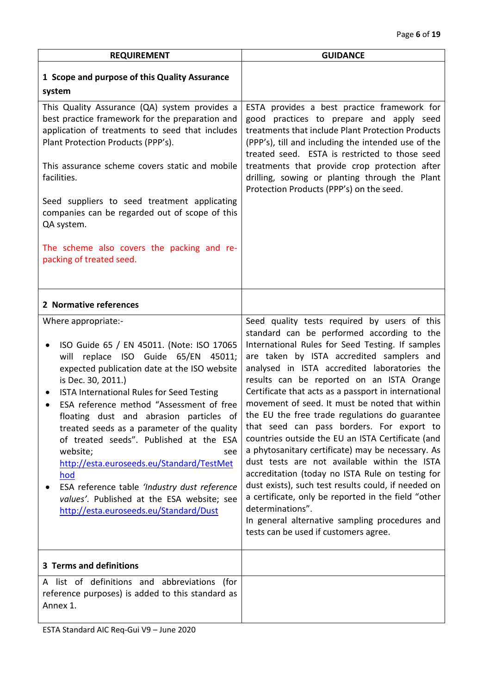<span id="page-5-2"></span><span id="page-5-1"></span><span id="page-5-0"></span>

| <b>REQUIREMENT</b>                                                                                                                                                                                                                                                                                                                                                                                                                                                                                                                                                                                                                                | <b>GUIDANCE</b>                                                                                                                                                                                                                                                                                                                                                                                                                                                                                                                                                                                                                                                                                                                                                                                                                                                                                                                              |
|---------------------------------------------------------------------------------------------------------------------------------------------------------------------------------------------------------------------------------------------------------------------------------------------------------------------------------------------------------------------------------------------------------------------------------------------------------------------------------------------------------------------------------------------------------------------------------------------------------------------------------------------------|----------------------------------------------------------------------------------------------------------------------------------------------------------------------------------------------------------------------------------------------------------------------------------------------------------------------------------------------------------------------------------------------------------------------------------------------------------------------------------------------------------------------------------------------------------------------------------------------------------------------------------------------------------------------------------------------------------------------------------------------------------------------------------------------------------------------------------------------------------------------------------------------------------------------------------------------|
| 1 Scope and purpose of this Quality Assurance<br>system                                                                                                                                                                                                                                                                                                                                                                                                                                                                                                                                                                                           |                                                                                                                                                                                                                                                                                                                                                                                                                                                                                                                                                                                                                                                                                                                                                                                                                                                                                                                                              |
| This Quality Assurance (QA) system provides a<br>best practice framework for the preparation and<br>application of treatments to seed that includes<br>Plant Protection Products (PPP's).<br>This assurance scheme covers static and mobile<br>facilities.<br>Seed suppliers to seed treatment applicating<br>companies can be regarded out of scope of this<br>QA system.<br>The scheme also covers the packing and re-                                                                                                                                                                                                                          | ESTA provides a best practice framework for<br>good practices to prepare and apply seed<br>treatments that include Plant Protection Products<br>(PPP's), till and including the intended use of the<br>treated seed. ESTA is restricted to those seed<br>treatments that provide crop protection after<br>drilling, sowing or planting through the Plant<br>Protection Products (PPP's) on the seed.                                                                                                                                                                                                                                                                                                                                                                                                                                                                                                                                         |
| packing of treated seed.                                                                                                                                                                                                                                                                                                                                                                                                                                                                                                                                                                                                                          |                                                                                                                                                                                                                                                                                                                                                                                                                                                                                                                                                                                                                                                                                                                                                                                                                                                                                                                                              |
| 2 Normative references                                                                                                                                                                                                                                                                                                                                                                                                                                                                                                                                                                                                                            |                                                                                                                                                                                                                                                                                                                                                                                                                                                                                                                                                                                                                                                                                                                                                                                                                                                                                                                                              |
| Where appropriate:-<br>ISO Guide 65 / EN 45011. (Note: ISO 17065<br>will replace ISO Guide 65/EN<br>45011;<br>expected publication date at the ISO website<br>is Dec. 30, 2011.)<br>ISTA International Rules for Seed Testing<br>$\bullet$<br>ESA reference method "Assessment of free<br>floating dust and abrasion particles of<br>treated seeds as a parameter of the quality<br>of treated seeds". Published at the ESA<br>website;<br>see<br>http://esta.euroseeds.eu/Standard/TestMet<br><u>hod</u><br>ESA reference table 'Industry dust reference<br>values'. Published at the ESA website; see<br>http://esta.euroseeds.eu/Standard/Dust | Seed quality tests required by users of this<br>standard can be performed according to the<br>International Rules for Seed Testing. If samples<br>are taken by ISTA accredited samplers and<br>analysed in ISTA accredited laboratories the<br>results can be reported on an ISTA Orange<br>Certificate that acts as a passport in international<br>movement of seed. It must be noted that within<br>the EU the free trade regulations do guarantee<br>that seed can pass borders. For export to<br>countries outside the EU an ISTA Certificate (and<br>a phytosanitary certificate) may be necessary. As<br>dust tests are not available within the ISTA<br>accreditation (today no ISTA Rule on testing for<br>dust exists), such test results could, if needed on<br>a certificate, only be reported in the field "other<br>determinations".<br>In general alternative sampling procedures and<br>tests can be used if customers agree. |
| 3 Terms and definitions                                                                                                                                                                                                                                                                                                                                                                                                                                                                                                                                                                                                                           |                                                                                                                                                                                                                                                                                                                                                                                                                                                                                                                                                                                                                                                                                                                                                                                                                                                                                                                                              |
| A list of definitions and abbreviations (for<br>reference purposes) is added to this standard as<br>Annex 1.                                                                                                                                                                                                                                                                                                                                                                                                                                                                                                                                      |                                                                                                                                                                                                                                                                                                                                                                                                                                                                                                                                                                                                                                                                                                                                                                                                                                                                                                                                              |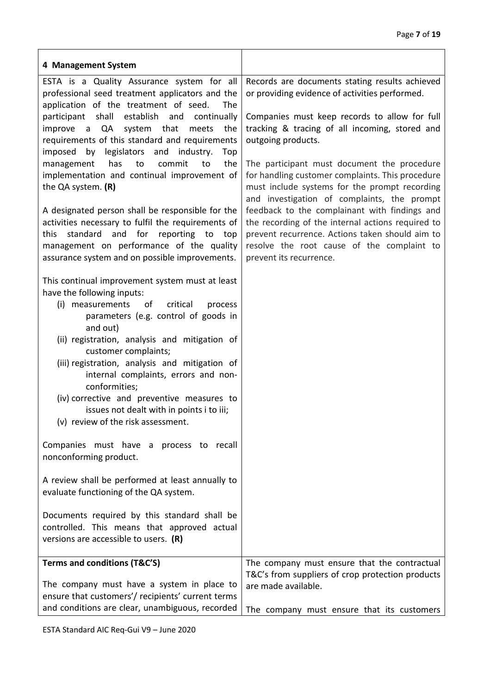<span id="page-6-0"></span>

| 4 Management System                                                                                                                                                                                                                                                                                                                                                                                                                                                                                                                                                                                                                                                                                                                     |                                                                                                                                                                                                                                                                                                                                                                                                                                                                                                                                                                                                                                                                |
|-----------------------------------------------------------------------------------------------------------------------------------------------------------------------------------------------------------------------------------------------------------------------------------------------------------------------------------------------------------------------------------------------------------------------------------------------------------------------------------------------------------------------------------------------------------------------------------------------------------------------------------------------------------------------------------------------------------------------------------------|----------------------------------------------------------------------------------------------------------------------------------------------------------------------------------------------------------------------------------------------------------------------------------------------------------------------------------------------------------------------------------------------------------------------------------------------------------------------------------------------------------------------------------------------------------------------------------------------------------------------------------------------------------------|
| ESTA is a Quality Assurance system for all<br>professional seed treatment applicators and the<br>application of the treatment of seed.<br>The<br>shall<br>establish<br>participant<br>continually<br>and<br>a QA system<br>that<br>the<br>improve<br>meets<br>requirements of this standard and requirements<br>by legislators and industry.<br>imposed<br>Top<br>has<br>to<br>commit<br>to<br>the<br>management<br>implementation and continual improvement of<br>the QA system. (R)<br>A designated person shall be responsible for the<br>activities necessary to fulfil the requirements of<br>this standard and for reporting to top<br>management on performance of the quality<br>assurance system and on possible improvements. | Records are documents stating results achieved<br>or providing evidence of activities performed.<br>Companies must keep records to allow for full<br>tracking & tracing of all incoming, stored and<br>outgoing products.<br>The participant must document the procedure<br>for handling customer complaints. This procedure<br>must include systems for the prompt recording<br>and investigation of complaints, the prompt<br>feedback to the complainant with findings and<br>the recording of the internal actions required to<br>prevent recurrence. Actions taken should aim to<br>resolve the root cause of the complaint to<br>prevent its recurrence. |
| This continual improvement system must at least<br>have the following inputs:<br>(i) measurements of<br>critical<br>process<br>parameters (e.g. control of goods in<br>and out)<br>(ii) registration, analysis and mitigation of<br>customer complaints;<br>(iii) registration, analysis and mitigation of<br>internal complaints, errors and non-<br>conformities;<br>(iv) corrective and preventive measures to<br>issues not dealt with in points i to iii;<br>(v) review of the risk assessment.                                                                                                                                                                                                                                    |                                                                                                                                                                                                                                                                                                                                                                                                                                                                                                                                                                                                                                                                |
| Companies must have a process to recall<br>nonconforming product.                                                                                                                                                                                                                                                                                                                                                                                                                                                                                                                                                                                                                                                                       |                                                                                                                                                                                                                                                                                                                                                                                                                                                                                                                                                                                                                                                                |
| A review shall be performed at least annually to<br>evaluate functioning of the QA system.                                                                                                                                                                                                                                                                                                                                                                                                                                                                                                                                                                                                                                              |                                                                                                                                                                                                                                                                                                                                                                                                                                                                                                                                                                                                                                                                |
| Documents required by this standard shall be<br>controlled. This means that approved actual<br>versions are accessible to users. $(R)$                                                                                                                                                                                                                                                                                                                                                                                                                                                                                                                                                                                                  |                                                                                                                                                                                                                                                                                                                                                                                                                                                                                                                                                                                                                                                                |
| Terms and conditions (T&C'S)                                                                                                                                                                                                                                                                                                                                                                                                                                                                                                                                                                                                                                                                                                            | The company must ensure that the contractual                                                                                                                                                                                                                                                                                                                                                                                                                                                                                                                                                                                                                   |
| The company must have a system in place to<br>ensure that customers'/ recipients' current terms<br>and conditions are clear, unambiguous, recorded                                                                                                                                                                                                                                                                                                                                                                                                                                                                                                                                                                                      | T&C's from suppliers of crop protection products<br>are made available.                                                                                                                                                                                                                                                                                                                                                                                                                                                                                                                                                                                        |
|                                                                                                                                                                                                                                                                                                                                                                                                                                                                                                                                                                                                                                                                                                                                         | The company must ensure that its customers                                                                                                                                                                                                                                                                                                                                                                                                                                                                                                                                                                                                                     |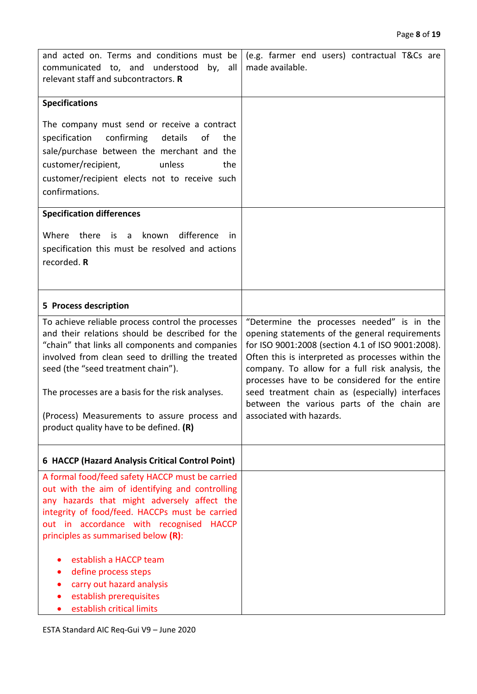<span id="page-7-1"></span><span id="page-7-0"></span>

| and acted on. Terms and conditions must be<br>communicated to, and understood by,<br>all<br>relevant staff and subcontractors. R                                                                                                                                                                                                                                                                                             | (e.g. farmer end users) contractual T&Cs are<br>made available.                                                                                                                                                                                                                                                                                                                                                                          |
|------------------------------------------------------------------------------------------------------------------------------------------------------------------------------------------------------------------------------------------------------------------------------------------------------------------------------------------------------------------------------------------------------------------------------|------------------------------------------------------------------------------------------------------------------------------------------------------------------------------------------------------------------------------------------------------------------------------------------------------------------------------------------------------------------------------------------------------------------------------------------|
| <b>Specifications</b>                                                                                                                                                                                                                                                                                                                                                                                                        |                                                                                                                                                                                                                                                                                                                                                                                                                                          |
| The company must send or receive a contract<br>specification<br>confirming<br>details<br>of<br>the<br>sale/purchase between the merchant and the<br>customer/recipient,<br>unless<br>the<br>customer/recipient elects not to receive such<br>confirmations.                                                                                                                                                                  |                                                                                                                                                                                                                                                                                                                                                                                                                                          |
| <b>Specification differences</b>                                                                                                                                                                                                                                                                                                                                                                                             |                                                                                                                                                                                                                                                                                                                                                                                                                                          |
| Where there is a known<br>difference<br>- in<br>specification this must be resolved and actions<br>recorded. R                                                                                                                                                                                                                                                                                                               |                                                                                                                                                                                                                                                                                                                                                                                                                                          |
| 5 Process description                                                                                                                                                                                                                                                                                                                                                                                                        |                                                                                                                                                                                                                                                                                                                                                                                                                                          |
| To achieve reliable process control the processes<br>and their relations should be described for the<br>"chain" that links all components and companies<br>involved from clean seed to drilling the treated<br>seed (the "seed treatment chain").<br>The processes are a basis for the risk analyses.<br>(Process) Measurements to assure process and<br>product quality have to be defined. (R)                             | "Determine the processes needed" is in the<br>opening statements of the general requirements<br>for ISO 9001:2008 (section 4.1 of ISO 9001:2008).<br>Often this is interpreted as processes within the<br>company. To allow for a full risk analysis, the<br>processes have to be considered for the entire<br>seed treatment chain as (especially) interfaces<br>between the various parts of the chain are<br>associated with hazards. |
| 6 HACCP (Hazard Analysis Critical Control Point)                                                                                                                                                                                                                                                                                                                                                                             |                                                                                                                                                                                                                                                                                                                                                                                                                                          |
| A formal food/feed safety HACCP must be carried<br>out with the aim of identifying and controlling<br>any hazards that might adversely affect the<br>integrity of food/feed. HACCPs must be carried<br>out in accordance with recognised HACCP<br>principles as summarised below (R):<br>establish a HACCP team<br>define process steps<br>carry out hazard analysis<br>establish prerequisites<br>establish critical limits |                                                                                                                                                                                                                                                                                                                                                                                                                                          |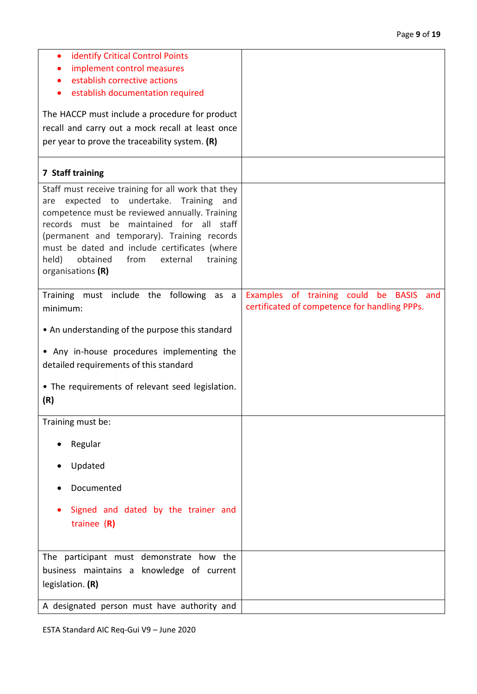<span id="page-8-0"></span>

| identify Critical Control Points<br>$\bullet$<br>implement control measures                                                                                                                                                                                                                                                                                                    |                                                                                          |
|--------------------------------------------------------------------------------------------------------------------------------------------------------------------------------------------------------------------------------------------------------------------------------------------------------------------------------------------------------------------------------|------------------------------------------------------------------------------------------|
| establish corrective actions                                                                                                                                                                                                                                                                                                                                                   |                                                                                          |
| establish documentation required                                                                                                                                                                                                                                                                                                                                               |                                                                                          |
|                                                                                                                                                                                                                                                                                                                                                                                |                                                                                          |
| The HACCP must include a procedure for product                                                                                                                                                                                                                                                                                                                                 |                                                                                          |
| recall and carry out a mock recall at least once                                                                                                                                                                                                                                                                                                                               |                                                                                          |
| per year to prove the traceability system. (R)                                                                                                                                                                                                                                                                                                                                 |                                                                                          |
|                                                                                                                                                                                                                                                                                                                                                                                |                                                                                          |
| 7 Staff training                                                                                                                                                                                                                                                                                                                                                               |                                                                                          |
| Staff must receive training for all work that they<br>expected to undertake.<br>Training<br>and<br>are<br>competence must be reviewed annually. Training<br>records must be maintained for all staff<br>(permanent and temporary). Training records<br>must be dated and include certificates (where<br>held)<br>obtained<br>from<br>external<br>training<br>organisations (R) |                                                                                          |
| Training must include the following as a<br>minimum:                                                                                                                                                                                                                                                                                                                           | Examples of training could be BASIS and<br>certificated of competence for handling PPPs. |
| • An understanding of the purpose this standard                                                                                                                                                                                                                                                                                                                                |                                                                                          |
| • Any in-house procedures implementing the                                                                                                                                                                                                                                                                                                                                     |                                                                                          |
| detailed requirements of this standard                                                                                                                                                                                                                                                                                                                                         |                                                                                          |
|                                                                                                                                                                                                                                                                                                                                                                                |                                                                                          |
| • The requirements of relevant seed legislation.                                                                                                                                                                                                                                                                                                                               |                                                                                          |
| (R)                                                                                                                                                                                                                                                                                                                                                                            |                                                                                          |
|                                                                                                                                                                                                                                                                                                                                                                                |                                                                                          |
| Training must be:                                                                                                                                                                                                                                                                                                                                                              |                                                                                          |
| Regular                                                                                                                                                                                                                                                                                                                                                                        |                                                                                          |
| Updated                                                                                                                                                                                                                                                                                                                                                                        |                                                                                          |
| Documented                                                                                                                                                                                                                                                                                                                                                                     |                                                                                          |
| Signed and dated by the trainer and<br>trainee $(R)$                                                                                                                                                                                                                                                                                                                           |                                                                                          |
| The participant must demonstrate how the                                                                                                                                                                                                                                                                                                                                       |                                                                                          |
| business maintains a knowledge of current                                                                                                                                                                                                                                                                                                                                      |                                                                                          |
| legislation. (R)                                                                                                                                                                                                                                                                                                                                                               |                                                                                          |
|                                                                                                                                                                                                                                                                                                                                                                                |                                                                                          |
| A designated person must have authority and                                                                                                                                                                                                                                                                                                                                    |                                                                                          |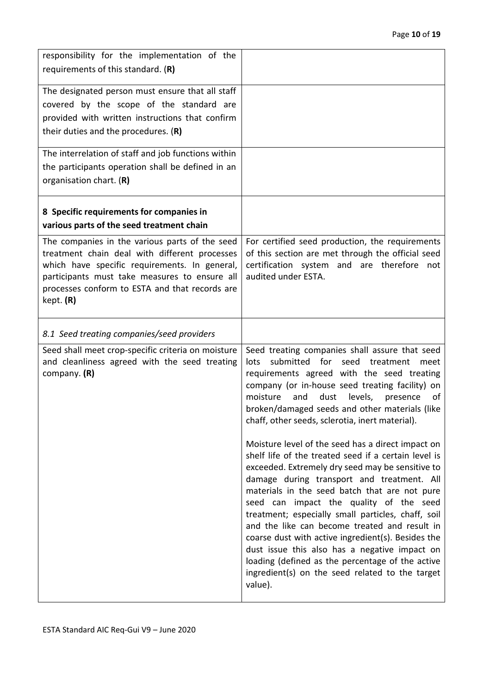<span id="page-9-1"></span><span id="page-9-0"></span>

| responsibility for the implementation of the<br>requirements of this standard. (R)                                                                                                                                                                               |                                                                                                                                                                                                                                                                                                                                                                                                                                                                                                                                                                                                                                                                                                                                                                                                                                                                                                                                                                                                         |
|------------------------------------------------------------------------------------------------------------------------------------------------------------------------------------------------------------------------------------------------------------------|---------------------------------------------------------------------------------------------------------------------------------------------------------------------------------------------------------------------------------------------------------------------------------------------------------------------------------------------------------------------------------------------------------------------------------------------------------------------------------------------------------------------------------------------------------------------------------------------------------------------------------------------------------------------------------------------------------------------------------------------------------------------------------------------------------------------------------------------------------------------------------------------------------------------------------------------------------------------------------------------------------|
| The designated person must ensure that all staff<br>covered by the scope of the standard are<br>provided with written instructions that confirm<br>their duties and the procedures. $(R)$                                                                        |                                                                                                                                                                                                                                                                                                                                                                                                                                                                                                                                                                                                                                                                                                                                                                                                                                                                                                                                                                                                         |
| The interrelation of staff and job functions within<br>the participants operation shall be defined in an<br>organisation chart. (R)                                                                                                                              |                                                                                                                                                                                                                                                                                                                                                                                                                                                                                                                                                                                                                                                                                                                                                                                                                                                                                                                                                                                                         |
| 8 Specific requirements for companies in<br>various parts of the seed treatment chain                                                                                                                                                                            |                                                                                                                                                                                                                                                                                                                                                                                                                                                                                                                                                                                                                                                                                                                                                                                                                                                                                                                                                                                                         |
| The companies in the various parts of the seed<br>treatment chain deal with different processes<br>which have specific requirements. In general,<br>participants must take measures to ensure all<br>processes conform to ESTA and that records are<br>kept. (R) | For certified seed production, the requirements<br>of this section are met through the official seed<br>certification system and are therefore not<br>audited under ESTA.                                                                                                                                                                                                                                                                                                                                                                                                                                                                                                                                                                                                                                                                                                                                                                                                                               |
| 8.1 Seed treating companies/seed providers                                                                                                                                                                                                                       |                                                                                                                                                                                                                                                                                                                                                                                                                                                                                                                                                                                                                                                                                                                                                                                                                                                                                                                                                                                                         |
| Seed shall meet crop-specific criteria on moisture<br>and cleanliness agreed with the seed treating<br>company. $(R)$                                                                                                                                            | Seed treating companies shall assure that seed<br>submitted for seed<br>lots<br>treatment<br>meet<br>requirements agreed with the seed treating<br>company (or in-house seed treating facility) on<br>moisture<br>and<br>dust levels,<br>presence<br>οf<br>broken/damaged seeds and other materials (like<br>chaff, other seeds, sclerotia, inert material).<br>Moisture level of the seed has a direct impact on<br>shelf life of the treated seed if a certain level is<br>exceeded. Extremely dry seed may be sensitive to<br>damage during transport and treatment. All<br>materials in the seed batch that are not pure<br>seed can impact the quality of the seed<br>treatment; especially small particles, chaff, soil<br>and the like can become treated and result in<br>coarse dust with active ingredient(s). Besides the<br>dust issue this also has a negative impact on<br>loading (defined as the percentage of the active<br>ingredient(s) on the seed related to the target<br>value). |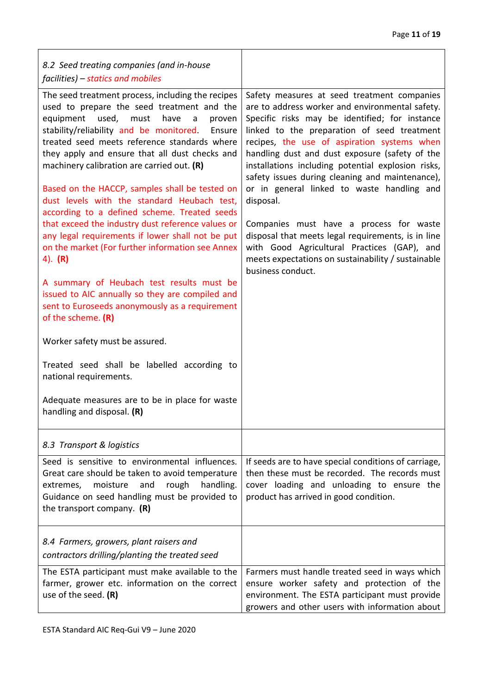٦

<span id="page-10-2"></span><span id="page-10-1"></span><span id="page-10-0"></span>

| 8.2 Seed treating companies (and in-house<br>facilities) – statics and mobiles                                                                                                                                                                                                                                                                                                                                                                                                                                                                                                                                                                                                                                                                                                                                                                                                                                                                                                                                                                                 |                                                                                                                                                                                                                                                                                                                                                                                                                                                                                                                                                                                                                                                                                                 |
|----------------------------------------------------------------------------------------------------------------------------------------------------------------------------------------------------------------------------------------------------------------------------------------------------------------------------------------------------------------------------------------------------------------------------------------------------------------------------------------------------------------------------------------------------------------------------------------------------------------------------------------------------------------------------------------------------------------------------------------------------------------------------------------------------------------------------------------------------------------------------------------------------------------------------------------------------------------------------------------------------------------------------------------------------------------|-------------------------------------------------------------------------------------------------------------------------------------------------------------------------------------------------------------------------------------------------------------------------------------------------------------------------------------------------------------------------------------------------------------------------------------------------------------------------------------------------------------------------------------------------------------------------------------------------------------------------------------------------------------------------------------------------|
| The seed treatment process, including the recipes<br>used to prepare the seed treatment and the<br>equipment used, must<br>have<br>$\mathsf{a}$<br>proven<br>stability/reliability and be monitored.<br>Ensure<br>treated seed meets reference standards where<br>they apply and ensure that all dust checks and<br>machinery calibration are carried out. (R)<br>Based on the HACCP, samples shall be tested on<br>dust levels with the standard Heubach test,<br>according to a defined scheme. Treated seeds<br>that exceed the industry dust reference values or<br>any legal requirements if lower shall not be put<br>on the market (For further information see Annex<br>4). $(R)$<br>A summary of Heubach test results must be<br>issued to AIC annually so they are compiled and<br>sent to Euroseeds anonymously as a requirement<br>of the scheme. $(R)$<br>Worker safety must be assured.<br>Treated seed shall be labelled according to<br>national requirements.<br>Adequate measures are to be in place for waste<br>handling and disposal. (R) | Safety measures at seed treatment companies<br>are to address worker and environmental safety.<br>Specific risks may be identified; for instance<br>linked to the preparation of seed treatment<br>recipes, the use of aspiration systems when<br>handling dust and dust exposure (safety of the<br>installations including potential explosion risks,<br>safety issues during cleaning and maintenance),<br>or in general linked to waste handling and<br>disposal.<br>Companies must have a process for waste<br>disposal that meets legal requirements, is in line<br>with Good Agricultural Practices (GAP), and<br>meets expectations on sustainability / sustainable<br>business conduct. |
| 8.3 Transport & logistics                                                                                                                                                                                                                                                                                                                                                                                                                                                                                                                                                                                                                                                                                                                                                                                                                                                                                                                                                                                                                                      |                                                                                                                                                                                                                                                                                                                                                                                                                                                                                                                                                                                                                                                                                                 |
| Seed is sensitive to environmental influences.<br>Great care should be taken to avoid temperature<br>rough<br>moisture<br>and<br>handling.<br>extremes,<br>Guidance on seed handling must be provided to<br>the transport company. $(R)$                                                                                                                                                                                                                                                                                                                                                                                                                                                                                                                                                                                                                                                                                                                                                                                                                       | If seeds are to have special conditions of carriage,<br>then these must be recorded. The records must<br>cover loading and unloading to ensure the<br>product has arrived in good condition.                                                                                                                                                                                                                                                                                                                                                                                                                                                                                                    |
| 8.4 Farmers, growers, plant raisers and<br>contractors drilling/planting the treated seed                                                                                                                                                                                                                                                                                                                                                                                                                                                                                                                                                                                                                                                                                                                                                                                                                                                                                                                                                                      |                                                                                                                                                                                                                                                                                                                                                                                                                                                                                                                                                                                                                                                                                                 |
| The ESTA participant must make available to the<br>farmer, grower etc. information on the correct<br>use of the seed. (R)                                                                                                                                                                                                                                                                                                                                                                                                                                                                                                                                                                                                                                                                                                                                                                                                                                                                                                                                      | Farmers must handle treated seed in ways which<br>ensure worker safety and protection of the<br>environment. The ESTA participant must provide<br>growers and other users with information about                                                                                                                                                                                                                                                                                                                                                                                                                                                                                                |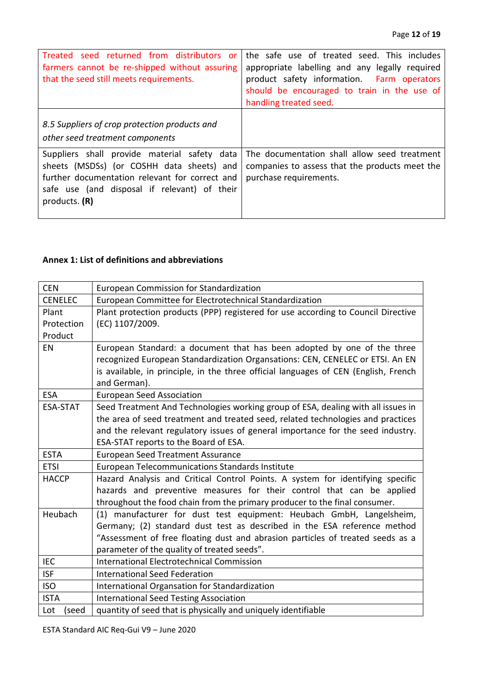<span id="page-11-0"></span>

| seed returned from distributors or<br>Treated<br>farmers cannot be re-shipped without assuring<br>that the seed still meets requirements.                                                                    | the safe use of treated seed. This includes<br>appropriate labelling and any legally required<br>product safety information. Farm operators<br>should be encouraged to train in the use of<br>handling treated seed. |
|--------------------------------------------------------------------------------------------------------------------------------------------------------------------------------------------------------------|----------------------------------------------------------------------------------------------------------------------------------------------------------------------------------------------------------------------|
| 8.5 Suppliers of crop protection products and<br>other seed treatment components                                                                                                                             |                                                                                                                                                                                                                      |
| Suppliers shall provide material safety data<br>sheets (MSDSs) (or COSHH data sheets) and<br>further documentation relevant for correct and<br>safe use (and disposal if relevant) of their<br>products. (R) | The documentation shall allow seed treatment<br>companies to assess that the products meet the<br>purchase requirements.                                                                                             |

## <span id="page-11-1"></span>**Annex 1: List of definitions and abbreviations**

| <b>CEN</b>     | <b>European Commission for Standardization</b>                                      |
|----------------|-------------------------------------------------------------------------------------|
| <b>CENELEC</b> | European Committee for Electrotechnical Standardization                             |
| Plant          | Plant protection products (PPP) registered for use according to Council Directive   |
| Protection     | (EC) 1107/2009.                                                                     |
| Product        |                                                                                     |
| EN             | European Standard: a document that has been adopted by one of the three             |
|                | recognized European Standardization Organsations: CEN, CENELEC or ETSI. An EN       |
|                | is available, in principle, in the three official languages of CEN (English, French |
|                | and German).                                                                        |
| <b>ESA</b>     | <b>European Seed Association</b>                                                    |
| ESA-STAT       | Seed Treatment And Technologies working group of ESA, dealing with all issues in    |
|                | the area of seed treatment and treated seed, related technologies and practices     |
|                | and the relevant regulatory issues of general importance for the seed industry.     |
|                | ESA-STAT reports to the Board of ESA.                                               |
| <b>ESTA</b>    | <b>European Seed Treatment Assurance</b>                                            |
| <b>ETSI</b>    | European Telecommunications Standards Institute                                     |
| <b>HACCP</b>   | Hazard Analysis and Critical Control Points. A system for identifying specific      |
|                |                                                                                     |
|                | hazards and preventive measures for their control that can be applied               |
|                | throughout the food chain from the primary producer to the final consumer.          |
| Heubach        | (1) manufacturer for dust test equipment: Heubach GmbH, Langelsheim,                |
|                | Germany; (2) standard dust test as described in the ESA reference method            |
|                | "Assessment of free floating dust and abrasion particles of treated seeds as a      |
|                | parameter of the quality of treated seeds".                                         |
| <b>IEC</b>     | <b>International Electrotechnical Commission</b>                                    |
| <b>ISF</b>     | <b>International Seed Federation</b>                                                |
| <b>ISO</b>     | International Organsation for Standardization                                       |
| <b>ISTA</b>    | <b>International Seed Testing Association</b>                                       |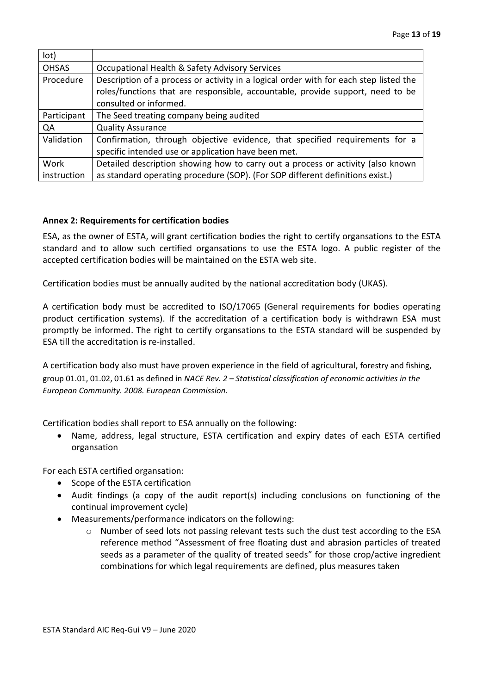| lot)         |                                                                                                                                                                                                   |
|--------------|---------------------------------------------------------------------------------------------------------------------------------------------------------------------------------------------------|
| <b>OHSAS</b> | Occupational Health & Safety Advisory Services                                                                                                                                                    |
| Procedure    | Description of a process or activity in a logical order with for each step listed the<br>roles/functions that are responsible, accountable, provide support, need to be<br>consulted or informed. |
| Participant  | The Seed treating company being audited                                                                                                                                                           |
| QA           | <b>Quality Assurance</b>                                                                                                                                                                          |
| Validation   | Confirmation, through objective evidence, that specified requirements for a<br>specific intended use or application have been met.                                                                |
| Work         | Detailed description showing how to carry out a process or activity (also known                                                                                                                   |
| instruction  | as standard operating procedure (SOP). (For SOP different definitions exist.)                                                                                                                     |

#### <span id="page-12-0"></span>**Annex 2: Requirements for certification bodies**

ESA, as the owner of ESTA, will grant certification bodies the right to certify organsations to the ESTA standard and to allow such certified organsations to use the ESTA logo. A public register of the accepted certification bodies will be maintained on the ESTA web site.

Certification bodies must be annually audited by the national accreditation body (UKAS).

A certification body must be accredited to ISO/17065 (General requirements for bodies operating product certification systems). If the accreditation of a certification body is withdrawn ESA must promptly be informed. The right to certify organsations to the ESTA standard will be suspended by ESA till the accreditation is re-installed.

A certification body also must have proven experience in the field of agricultural, forestry and fishing, group 01.01, 01.02, 01.61 as defined in *NACE Rev. 2 – Statistical classification of economic activities in the European Community. 2008. European Commission.*

Certification bodies shall report to ESA annually on the following:

Name, address, legal structure, ESTA certification and expiry dates of each ESTA certified organsation

For each ESTA certified organsation:

- Scope of the ESTA certification
- Audit findings (a copy of the audit report(s) including conclusions on functioning of the continual improvement cycle)
- Measurements/performance indicators on the following:
	- o Number of seed lots not passing relevant tests such the dust test according to the ESA reference method "Assessment of free floating dust and abrasion particles of treated seeds as a parameter of the quality of treated seeds" for those crop/active ingredient combinations for which legal requirements are defined, plus measures taken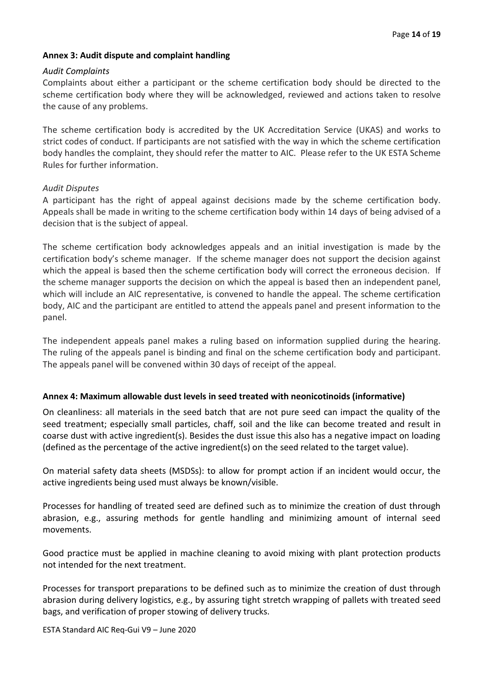#### <span id="page-13-0"></span>**Annex 3: Audit dispute and complaint handling**

#### *Audit Complaints*

Complaints about either a participant or the scheme certification body should be directed to the scheme certification body where they will be acknowledged, reviewed and actions taken to resolve the cause of any problems.

The scheme certification body is accredited by the UK Accreditation Service (UKAS) and works to strict codes of conduct. If participants are not satisfied with the way in which the scheme certification body handles the complaint, they should refer the matter to AIC. Please refer to the UK ESTA Scheme Rules for further information.

#### *Audit Disputes*

A participant has the right of appeal against decisions made by the scheme certification body. Appeals shall be made in writing to the scheme certification body within 14 days of being advised of a decision that is the subject of appeal.

The scheme certification body acknowledges appeals and an initial investigation is made by the certification body's scheme manager. If the scheme manager does not support the decision against which the appeal is based then the scheme certification body will correct the erroneous decision. If the scheme manager supports the decision on which the appeal is based then an independent panel, which will include an AIC representative, is convened to handle the appeal. The scheme certification body, AIC and the participant are entitled to attend the appeals panel and present information to the panel.

The independent appeals panel makes a ruling based on information supplied during the hearing. The ruling of the appeals panel is binding and final on the scheme certification body and participant. The appeals panel will be convened within 30 days of receipt of the appeal.

#### <span id="page-13-1"></span>**Annex 4: Maximum allowable dust levels in seed treated with neonicotinoids (informative)**

On cleanliness: all materials in the seed batch that are not pure seed can impact the quality of the seed treatment; especially small particles, chaff, soil and the like can become treated and result in coarse dust with active ingredient(s). Besides the dust issue this also has a negative impact on loading (defined as the percentage of the active ingredient(s) on the seed related to the target value).

On material safety data sheets (MSDSs): to allow for prompt action if an incident would occur, the active ingredients being used must always be known/visible.

Processes for handling of treated seed are defined such as to minimize the creation of dust through abrasion, e.g., assuring methods for gentle handling and minimizing amount of internal seed movements.

Good practice must be applied in machine cleaning to avoid mixing with plant protection products not intended for the next treatment.

Processes for transport preparations to be defined such as to minimize the creation of dust through abrasion during delivery logistics, e.g., by assuring tight stretch wrapping of pallets with treated seed bags, and verification of proper stowing of delivery trucks.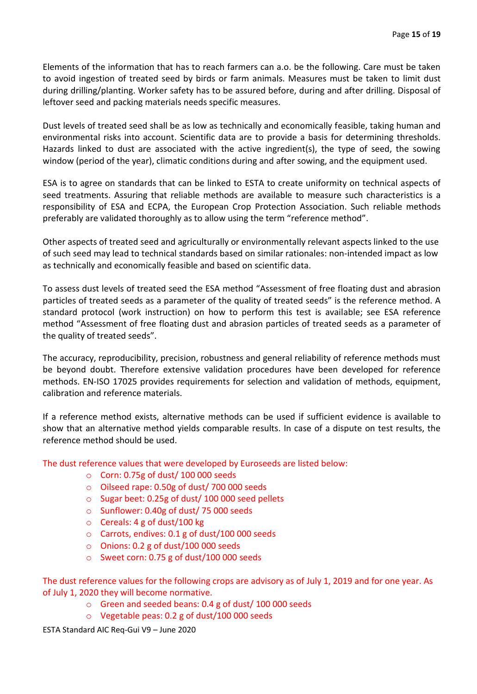Elements of the information that has to reach farmers can a.o. be the following. Care must be taken to avoid ingestion of treated seed by birds or farm animals. Measures must be taken to limit dust during drilling/planting. Worker safety has to be assured before, during and after drilling. Disposal of leftover seed and packing materials needs specific measures.

Dust levels of treated seed shall be as low as technically and economically feasible, taking human and environmental risks into account. Scientific data are to provide a basis for determining thresholds. Hazards linked to dust are associated with the active ingredient(s), the type of seed, the sowing window (period of the year), climatic conditions during and after sowing, and the equipment used.

ESA is to agree on standards that can be linked to ESTA to create uniformity on technical aspects of seed treatments. Assuring that reliable methods are available to measure such characteristics is a responsibility of ESA and ECPA, the European Crop Protection Association. Such reliable methods preferably are validated thoroughly as to allow using the term "reference method".

Other aspects of treated seed and agriculturally or environmentally relevant aspects linked to the use of such seed may lead to technical standards based on similar rationales: non-intended impact as low as technically and economically feasible and based on scientific data.

To assess dust levels of treated seed the ESA method "Assessment of free floating dust and abrasion particles of treated seeds as a parameter of the quality of treated seeds" is the reference method. A standard protocol (work instruction) on how to perform this test is available; see ESA reference method "Assessment of free floating dust and abrasion particles of treated seeds as a parameter of the quality of treated seeds".

The accuracy, reproducibility, precision, robustness and general reliability of reference methods must be beyond doubt. Therefore extensive validation procedures have been developed for reference methods. EN-ISO 17025 provides requirements for selection and validation of methods, equipment, calibration and reference materials.

If a reference method exists, alternative methods can be used if sufficient evidence is available to show that an alternative method yields comparable results. In case of a dispute on test results, the reference method should be used.

The dust reference values that were developed by Euroseeds are listed below:

- $\circ$  Corn: 0.75g of dust/ 100 000 seeds
- o Oilseed rape: 0.50g of dust/ 700 000 seeds
- o Sugar beet: 0.25g of dust/ 100 000 seed pellets
- o Sunflower: 0.40g of dust/ 75 000 seeds
- $\circ$  Cereals: 4 g of dust/100 kg
- o Carrots, endives: 0.1 g of dust/100 000 seeds
- o Onions: 0.2 g of dust/100 000 seeds
- o Sweet corn: 0.75 g of dust/100 000 seeds

The dust reference values for the following crops are advisory as of July 1, 2019 and for one year. As of July 1, 2020 they will become normative.

- o Green and seeded beans: 0.4 g of dust/ 100 000 seeds
- o Vegetable peas: 0.2 g of dust/100 000 seeds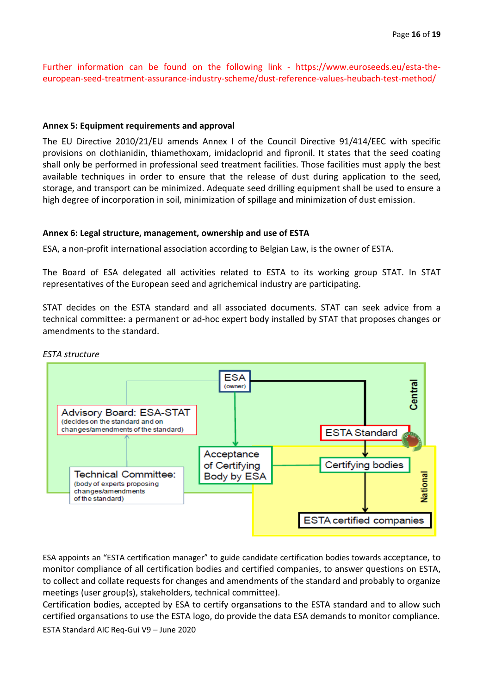<span id="page-15-0"></span>Further information can be found on the following link - https://www.euroseeds.eu/esta-theeuropean-seed-treatment-assurance-industry-scheme/dust-reference-values-heubach-test-method/

#### **Annex 5: Equipment requirements and approval**

The EU Directive 2010/21/EU amends Annex I of the Council Directive 91/414/EEC with specific provisions on clothianidin, thiamethoxam, imidacloprid and fipronil. It states that the seed coating shall only be performed in professional seed treatment facilities. Those facilities must apply the best available techniques in order to ensure that the release of dust during application to the seed, storage, and transport can be minimized. Adequate seed drilling equipment shall be used to ensure a high degree of incorporation in soil, minimization of spillage and minimization of dust emission.

#### <span id="page-15-1"></span>**Annex 6: Legal structure, management, ownership and use of ESTA**

ESA, a non-profit international association according to Belgian Law, is the owner of ESTA.

The Board of ESA delegated all activities related to ESTA to its working group STAT. In STAT representatives of the European seed and agrichemical industry are participating.

STAT decides on the ESTA standard and all associated documents. STAT can seek advice from a technical committee: a permanent or ad-hoc expert body installed by STAT that proposes changes or amendments to the standard.



#### *ESTA structure*

ESA appoints an "ESTA certification manager" to guide candidate certification bodies towards acceptance, to monitor compliance of all certification bodies and certified companies, to answer questions on ESTA, to collect and collate requests for changes and amendments of the standard and probably to organize meetings (user group(s), stakeholders, technical committee).

Certification bodies, accepted by ESA to certify organsations to the ESTA standard and to allow such certified organsations to use the ESTA logo, do provide the data ESA demands to monitor compliance.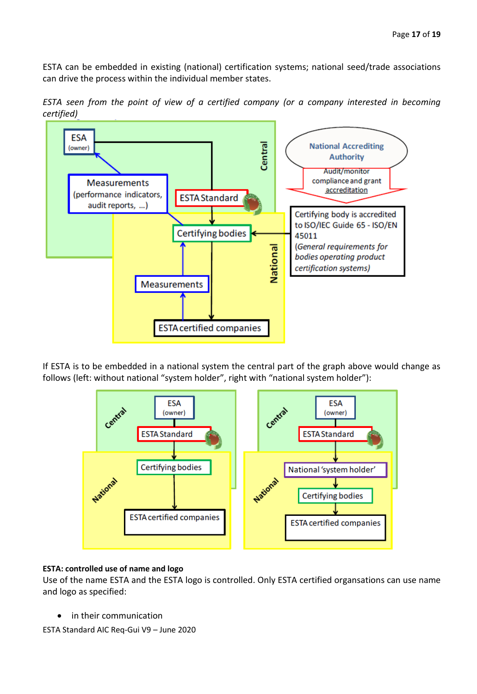ESTA can be embedded in existing (national) certification systems; national seed/trade associations can drive the process within the individual member states.

*ESTA seen from the point of view of a certified company (or a company interested in becoming certified)* 



If ESTA is to be embedded in a national system the central part of the graph above would change as follows (left: without national "system holder", right with "national system holder"):



#### **ESTA: controlled use of name and logo**

Use of the name ESTA and the ESTA logo is controlled. Only ESTA certified organsations can use name and logo as specified:

in their communication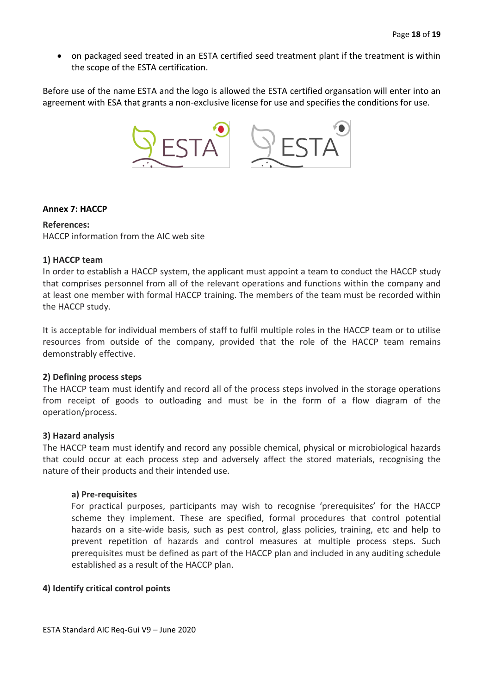• on packaged seed treated in an ESTA certified seed treatment plant if the treatment is within the scope of the ESTA certification.

Before use of the name ESTA and the logo is allowed the ESTA certified organsation will enter into an agreement with ESA that grants a non-exclusive license for use and specifies the conditions for use.



#### <span id="page-17-0"></span>**Annex 7: HACCP**

#### **References:**

HACCP information from the AIC web site

#### **1) HACCP team**

In order to establish a HACCP system, the applicant must appoint a team to conduct the HACCP study that comprises personnel from all of the relevant operations and functions within the company and at least one member with formal HACCP training. The members of the team must be recorded within the HACCP study.

It is acceptable for individual members of staff to fulfil multiple roles in the HACCP team or to utilise resources from outside of the company, provided that the role of the HACCP team remains demonstrably effective.

#### **2) Defining process steps**

The HACCP team must identify and record all of the process steps involved in the storage operations from receipt of goods to outloading and must be in the form of a flow diagram of the operation/process.

#### **3) Hazard analysis**

The HACCP team must identify and record any possible chemical, physical or microbiological hazards that could occur at each process step and adversely affect the stored materials, recognising the nature of their products and their intended use.

#### **a) Pre-requisites**

For practical purposes, participants may wish to recognise 'prerequisites' for the HACCP scheme they implement. These are specified, formal procedures that control potential hazards on a site-wide basis, such as pest control, glass policies, training, etc and help to prevent repetition of hazards and control measures at multiple process steps. Such prerequisites must be defined as part of the HACCP plan and included in any auditing schedule established as a result of the HACCP plan.

## **4) Identify critical control points**